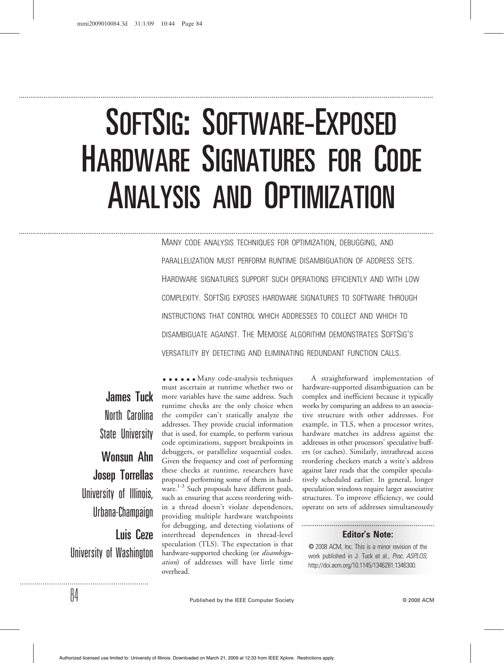# SOFTSIG: SOFTWARE-EXPOSED HARDWARE SIGNATURES FOR CODE ANALYSIS AND OPTIMIZATION

..........................................................................................................................................................................................................................

..........................................................................................................................................................................................................................

MANY CODE ANALYSIS TECHNIQUES FOR OPTIMIZATION, DEBUGGING, AND PARALLELIZATION MUST PERFORM RUNTIME DISAMBIGUATION OF ADDRESS SETS. HARDWARE SIGNATURES SUPPORT SUCH OPERATIONS EFFICIENTLY AND WITH LOW COMPLEXITY. SOFTSIG EXPOSES HARDWARE SIGNATURES TO SOFTWARE THROUGH INSTRUCTIONS THAT CONTROL WHICH ADDRESSES TO COLLECT AND WHICH TO DISAMBIGUATE AGAINST. THE MEMOISE ALGORITHM DEMONSTRATES SOFTSIG'S VERSATILITY BY DETECTING AND ELIMINATING REDUNDANT FUNCTION CALLS.

James Tuck North Carolina State University Wonsun Ahn Josep Torrellas University of Illinois, Urbana-Champaign Luis Ceze University of Washington

......Many code-analysis techniques must ascertain at runtime whether two or more variables have the same address. Such runtime checks are the only choice when the compiler can't statically analyze the addresses. They provide crucial information that is used, for example, to perform various code optimizations, support breakpoints in debuggers, or parallelize sequential codes. Given the frequency and cost of performing these checks at runtime, researchers have proposed performing some of them in hardware. 1-3 Such proposals have different goals, such as ensuring that access reordering within a thread doesn't violate dependences, providing multiple hardware watchpoints for debugging, and detecting violations of interthread dependences in thread-level speculation (TLS). The expectation is that hardware-supported checking (or *disambigu*ation) of addresses will have little time overhead.

A straightforward implementation of hardware-supported disambiguation can be complex and inefficient because it typically works by comparing an address to an associative structure with other addresses. For example, in TLS, when a processor writes, hardware matches its address against the addresses in other processors' speculative buffers (or caches). Similarly, intrathread access reordering checkers match a write's address against later reads that the compiler speculatively scheduled earlier. In general, longer speculation windows require larger associative structures. To improve efficiency, we could operate on sets of addresses simultaneously

# ...................................................................... Editor's Note:

 $\odot$  2008 ACM, Inc. This is a minor revision of the work published in J. Tuck et al., Proc. ASPLOS; http://doi.acm.org/10.1145/1346281.1346300.

..............................................................

 $\begin{bmatrix} 0 & 0 \ 0 & 0 \end{bmatrix}$  Published by the IEEE Computer Society  $\begin{bmatrix} 0 & 0 \end{bmatrix}$   $\begin{bmatrix} 0 & 2008 \end{bmatrix}$  ACM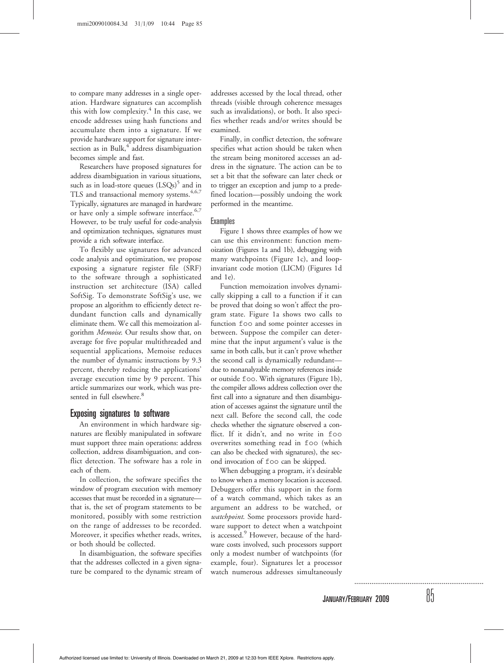to compare many addresses in a single operation. Hardware signatures can accomplish this with low complexity. <sup>4</sup> In this case, we encode addresses using hash functions and accumulate them into a signature. If we provide hardware support for signature intersection as in Bulk, $4$  address disambiguation becomes simple and fast.

Researchers have proposed signatures for address disambiguation in various situations, such as in load-store queues  $(LSQs)^5$  and in TLS and transactional memory systems.<sup>4,6,7</sup> Typically, signatures are managed in hardware or have only a simple software interface.<sup>6,7</sup> However, to be truly useful for code-analysis and optimization techniques, signatures must provide a rich software interface.

To flexibly use signatures for advanced code analysis and optimization, we propose exposing a signature register file (SRF) to the software through a sophisticated instruction set architecture (ISA) called SoftSig. To demonstrate SoftSig's use, we propose an algorithm to efficiently detect redundant function calls and dynamically eliminate them. We call this memoization algorithm Memoise. Our results show that, on average for five popular multithreaded and sequential applications, Memoise reduces the number of dynamic instructions by 9.3 percent, thereby reducing the applications' average execution time by 9 percent. This article summarizes our work, which was presented in full elsewhere.<sup>8</sup>

# Exposing signatures to software

An environment in which hardware signatures are flexibly manipulated in software must support three main operations: address collection, address disambiguation, and conflict detection. The software has a role in each of them.

In collection, the software specifies the window of program execution with memory accesses that must be recorded in a signature that is, the set of program statements to be monitored, possibly with some restriction on the range of addresses to be recorded. Moreover, it specifies whether reads, writes, or both should be collected.

In disambiguation, the software specifies that the addresses collected in a given signature be compared to the dynamic stream of

addresses accessed by the local thread, other threads (visible through coherence messages such as invalidations), or both. It also specifies whether reads and/or writes should be examined.

Finally, in conflict detection, the software specifies what action should be taken when the stream being monitored accesses an address in the signature. The action can be to set a bit that the software can later check or to trigger an exception and jump to a predefined location—possibly undoing the work performed in the meantime.

## Examples

Figure 1 shows three examples of how we can use this environment: function memoization (Figures 1a and 1b), debugging with many watchpoints (Figure 1c), and loopinvariant code motion (LICM) (Figures 1d and 1e).

Function memoization involves dynamically skipping a call to a function if it can be proved that doing so won't affect the program state. Figure 1a shows two calls to function foo and some pointer accesses in between. Suppose the compiler can determine that the input argument's value is the same in both calls, but it can't prove whether the second call is dynamically redundant due to nonanalyzable memory references inside or outside foo. With signatures (Figure 1b), the compiler allows address collection over the first call into a signature and then disambiguation of accesses against the signature until the next call. Before the second call, the code checks whether the signature observed a conflict. If it didn't, and no write in foo overwrites something read in foo (which can also be checked with signatures), the second invocation of foo can be skipped.

When debugging a program, it's desirable to know when a memory location is accessed. Debuggers offer this support in the form of a watch command, which takes as an argument an address to be watched, or watchpoint. Some processors provide hardware support to detect when a watchpoint is accessed.<sup>9</sup> However, because of the hardware costs involved, such processors support only a modest number of watchpoints (for example, four). Signatures let a processor watch numerous addresses simultaneously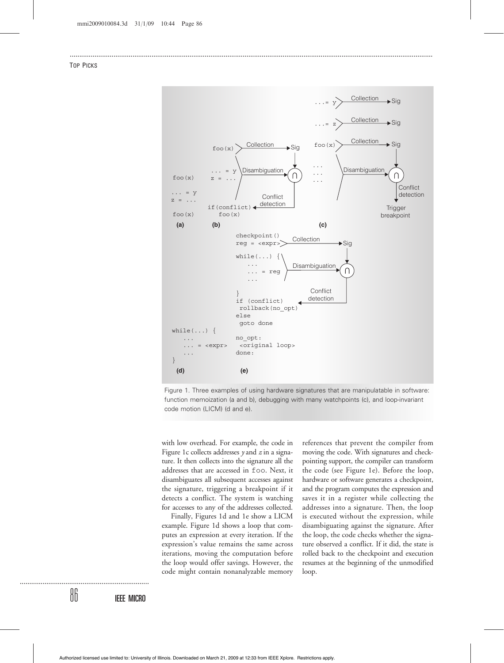

...............................................................................................................................................................................................

Figure 1. Three examples of using hardware signatures that are manipulatable in software: function memoization (a and b), debugging with many watchpoints (c), and loop-invariant code motion (LICM) (d and e).

with low overhead. For example, the code in Figure 1c collects addresses  $y$  and  $z$  in a signature. It then collects into the signature all the addresses that are accessed in foo. Next, it disambiguates all subsequent accesses against the signature, triggering a breakpoint if it detects a conflict. The system is watching for accesses to any of the addresses collected.

Finally, Figures 1d and 1e show a LICM example. Figure 1d shows a loop that computes an expression at every iteration. If the expression's value remains the same across iterations, moving the computation before the loop would offer savings. However, the code might contain nonanalyzable memory references that prevent the compiler from moving the code. With signatures and checkpointing support, the compiler can transform the code (see Figure 1e). Before the loop, hardware or software generates a checkpoint, and the program computes the expression and saves it in a register while collecting the addresses into a signature. Then, the loop is executed without the expression, while disambiguating against the signature. After the loop, the code checks whether the signature observed a conflict. If it did, the state is rolled back to the checkpoint and execution resumes at the beginning of the unmodified loop.

....................................................................

 $86 **IEEE MICRO**$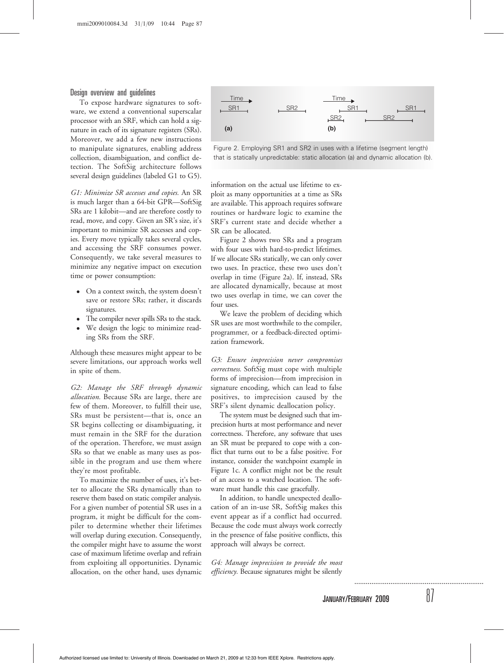### Design overview and guidelines

To expose hardware signatures to software, we extend a conventional superscalar processor with an SRF, which can hold a signature in each of its signature registers (SRs). Moreover, we add a few new instructions to manipulate signatures, enabling address collection, disambiguation, and conflict detection. The SoftSig architecture follows several design guidelines (labeled G1 to G5).

G1: Minimize SR accesses and copies. An SR is much larger than a 64-bit GPR—SoftSig SRs are 1 kilobit—and are therefore costly to read, move, and copy. Given an SR's size, it's important to minimize SR accesses and copies. Every move typically takes several cycles, and accessing the SRF consumes power. Consequently, we take several measures to minimize any negative impact on execution time or power consumption:

- On a context switch, the system doesn't save or restore SRs; rather, it discards signatures.
- The compiler never spills SRs to the stack.
- We design the logic to minimize reading SRs from the SRF.

Although these measures might appear to be severe limitations, our approach works well in spite of them.

G2: Manage the SRF through dynamic allocation. Because SRs are large, there are few of them. Moreover, to fulfill their use, SRs must be persistent—that is, once an SR begins collecting or disambiguating, it must remain in the SRF for the duration of the operation. Therefore, we must assign SRs so that we enable as many uses as possible in the program and use them where they're most profitable.

To maximize the number of uses, it's better to allocate the SRs dynamically than to reserve them based on static compiler analysis. For a given number of potential SR uses in a program, it might be difficult for the compiler to determine whether their lifetimes will overlap during execution. Consequently, the compiler might have to assume the worst case of maximum lifetime overlap and refrain from exploiting all opportunities. Dynamic allocation, on the other hand, uses dynamic





information on the actual use lifetime to exploit as many opportunities at a time as SRs are available. This approach requires software routines or hardware logic to examine the SRF's current state and decide whether a SR can be allocated.

Figure 2 shows two SRs and a program with four uses with hard-to-predict lifetimes. If we allocate SRs statically, we can only cover two uses. In practice, these two uses don't overlap in time (Figure 2a). If, instead, SRs are allocated dynamically, because at most two uses overlap in time, we can cover the four uses.

We leave the problem of deciding which SR uses are most worthwhile to the compiler, programmer, or a feedback-directed optimization framework.

G3: Ensure imprecision never compromises correctness. SoftSig must cope with multiple forms of imprecision—from imprecision in signature encoding, which can lead to false positives, to imprecision caused by the SRF's silent dynamic deallocation policy.

The system must be designed such that imprecision hurts at most performance and never correctness. Therefore, any software that uses an SR must be prepared to cope with a conflict that turns out to be a false positive. For instance, consider the watchpoint example in Figure 1c. A conflict might not be the result of an access to a watched location. The software must handle this case gracefully.

In addition, to handle unexpected deallocation of an in-use SR, SoftSig makes this event appear as if a conflict had occurred. Because the code must always work correctly in the presence of false positive conflicts, this approach will always be correct.

G4: Manage imprecision to provide the most efficiency. Because signatures might be silently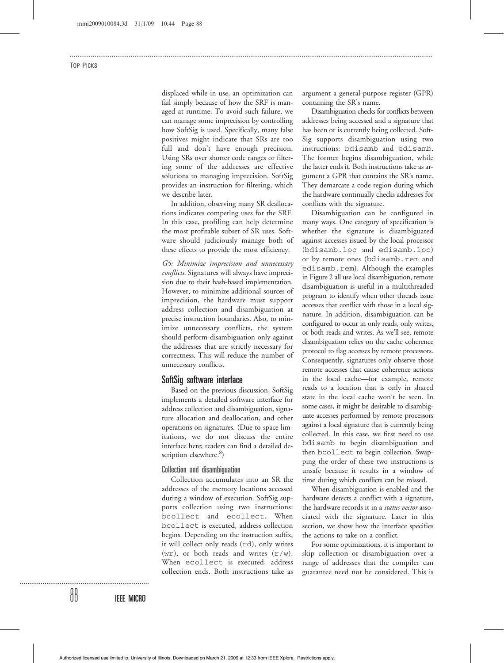displaced while in use, an optimization can fail simply because of how the SRF is managed at runtime. To avoid such failure, we can manage some imprecision by controlling how SoftSig is used. Specifically, many false positives might indicate that SRs are too full and don't have enough precision. Using SRs over shorter code ranges or filtering some of the addresses are effective solutions to managing imprecision. SoftSig provides an instruction for filtering, which we describe later.

...............................................................................................................................................................................................

In addition, observing many SR deallocations indicates competing uses for the SRF. In this case, profiling can help determine the most profitable subset of SR uses. Software should judiciously manage both of these effects to provide the most efficiency.

G5: Minimize imprecision and unnecessary conflicts. Signatures will always have imprecision due to their hash-based implementation. However, to minimize additional sources of imprecision, the hardware must support address collection and disambiguation at precise instruction boundaries. Also, to minimize unnecessary conflicts, the system should perform disambiguation only against the addresses that are strictly necessary for correctness. This will reduce the number of unnecessary conflicts.

# SoftSig software interface

Based on the previous discussion, SoftSig implements a detailed software interface for address collection and disambiguation, signature allocation and deallocation, and other operations on signatures. (Due to space limitations, we do not discuss the entire interface here; readers can find a detailed description elsewhere.<sup>8</sup>)

#### Collection and disambiguation

Collection accumulates into an SR the addresses of the memory locations accessed during a window of execution. SoftSig supports collection using two instructions: bcollect and ecollect. When bcollect is executed, address collection begins. Depending on the instruction suffix, it will collect only reads (rd), only writes (wr), or both reads and writes  $(r/w)$ . When ecollect is executed, address collection ends. Both instructions take as argument a general-purpose register (GPR) containing the SR's name.

Disambiguation checks for conflicts between addresses being accessed and a signature that has been or is currently being collected. Soft-Sig supports disambiguation using two instructions: bdisamb and edisamb. The former begins disambiguation, while the latter ends it. Both instructions take as argument a GPR that contains the SR's name. They demarcate a code region during which the hardware continually checks addresses for conflicts with the signature.

Disambiguation can be configured in many ways. One category of specification is whether the signature is disambiguated against accesses issued by the local processor (bdisamb.loc and edisamb.loc) or by remote ones (bdisamb.rem and edisamb.rem). Although the examples in Figure 2 all use local disambiguation, remote disambiguation is useful in a multithreaded program to identify when other threads issue accesses that conflict with those in a local signature. In addition, disambiguation can be configured to occur in only reads, only writes, or both reads and writes. As we'll see, remote disambiguation relies on the cache coherence protocol to flag accesses by remote processors. Consequently, signatures only observe those remote accesses that cause coherence actions in the local cache—for example, remote reads to a location that is only in shared state in the local cache won't be seen. In some cases, it might be desirable to disambiguate accesses performed by remote processors against a local signature that is currently being collected. In this case, we first need to use bdisamb to begin disambiguation and then bcollect to begin collection. Swapping the order of these two instructions is unsafe because it results in a window of time during which conflicts can be missed.

When disambiguation is enabled and the hardware detects a conflict with a signature, the hardware records it in a status vector associated with the signature. Later in this section, we show how the interface specifies the actions to take on a conflict.

For some optimizations, it is important to skip collection or disambiguation over a range of addresses that the compiler can guarantee need not be considered. This is

....................................................................

88 IEEE MICRO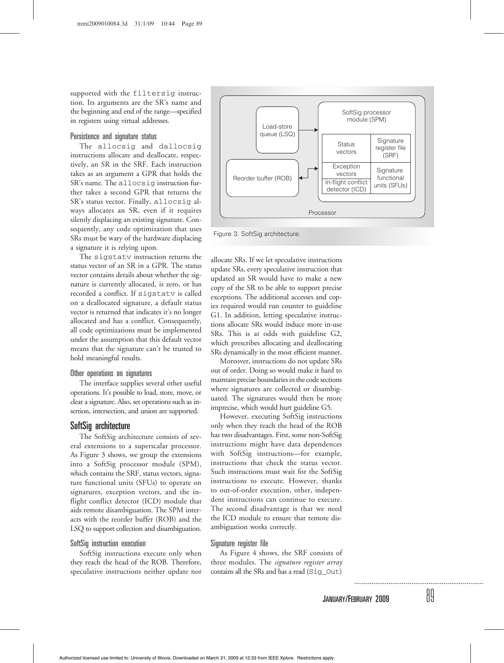supported with the filtersig instruction. Its arguments are the SR's name and the beginning and end of the range—specified in registers using virtual addresses.

# Persistence and signature status

The allocsig and dallocsig instructions allocate and deallocate, respectively, an SR in the SRF. Each instruction takes as an argument a GPR that holds the SR's name. The allocsig instruction further takes a second GPR that returns the SR's status vector. Finally, allocsig always allocates an SR, even if it requires silently displacing an existing signature. Consequently, any code optimization that uses SRs must be wary of the hardware displacing a signature it is relying upon.

The sigstatv instruction returns the status vector of an SR in a GPR. The status vector contains details about whether the signature is currently allocated, is zero, or has recorded a conflict. If sigstatv is called on a deallocated signature, a default status vector is returned that indicates it's no longer allocated and has a conflict. Consequently, all code optimizations must be implemented under the assumption that this default vector means that the signature can't be trusted to hold meaningful results.

# Other operations on signatures

The interface supplies several other useful operations. It's possible to load, store, move, or clear a signature. Also, set operations such as insertion, intersection, and union are supported.

# SoftSig architecture

The SoftSig architecture consists of several extensions to a superscalar processor. As Figure 3 shows, we group the extensions into a SoftSig processor module (SPM), which contains the SRF, status vectors, signature functional units (SFUs) to operate on signatures, exception vectors, and the inflight conflict detector (ICD) module that aids remote disambiguation. The SPM interacts with the reorder buffer (ROB) and the LSQ to support collection and disambiguation.

#### SoftSig instruction execution

SoftSig instructions execute only when they reach the head of the ROB. Therefore, speculative instructions neither update nor



Figure 3. SoftSig architecture.

allocate SRs. If we let speculative instructions update SRs, every speculative instruction that updated an SR would have to make a new copy of the SR to be able to support precise exceptions. The additional accesses and copies required would run counter to guideline G1. In addition, letting speculative instructions allocate SRs would induce more in-use SRs. This is at odds with guideline G2, which prescribes allocating and deallocating SRs dynamically in the most efficient manner.

Moreover, instructions do not update SRs out of order. Doing so would make it hard to maintain precise boundaries in the code sections where signatures are collected or disambiguated. The signatures would then be more imprecise, which would hurt guideline G5.

However, executing SoftSig instructions only when they reach the head of the ROB has two disadvantages. First, some non-SoftSig instructions might have data dependences with SoftSig instructions—for example, instructions that check the status vector. Such instructions must wait for the SoftSig instructions to execute. However, thanks to out-of-order execution, other, independent instructions can continue to execute. The second disadvantage is that we need the ICD module to ensure that remote disambiguation works correctly.

#### Signature register file

As Figure 4 shows, the SRF consists of three modules. The signature register array contains all the SRs and has a read (Sig\_Out)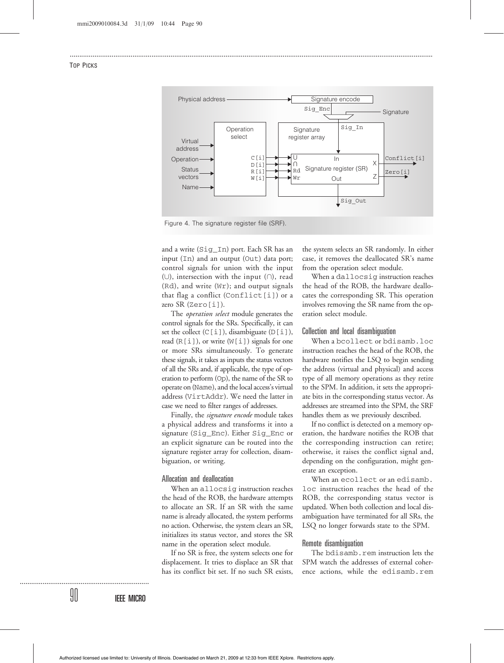

Figure 4. The signature register file (SRF).

...............................................................................................................................................................................................

and a write (Sig\_In) port. Each SR has an input (In) and an output (Out) data port; control signals for union with the input  $(U)$ , intersection with the input  $(\cap)$ , read (Rd), and write (Wr); and output signals that flag a conflict (Conflict[i]) or a zero  $SR$  (Zero[i]).

The *operation select* module generates the control signals for the SRs. Specifically, it can set the collect (C[i]), disambiguate (D[i]), read  $(R[i])$ , or write  $(W[i])$  signals for one or more SRs simultaneously. To generate these signals, it takes as inputs the status vectors of all the SRs and, if applicable, the type of operation to perform (Op), the name of the SR to operate on (Name), and the local access's virtual address (VirtAddr). We need the latter in case we need to filter ranges of addresses.

Finally, the signature encode module takes a physical address and transforms it into a signature (Sig\_Enc). Either Sig\_Enc or an explicit signature can be routed into the signature register array for collection, disambiguation, or writing.

### Allocation and deallocation

When an allocsig instruction reaches the head of the ROB, the hardware attempts to allocate an SR. If an SR with the same name is already allocated, the system performs no action. Otherwise, the system clears an SR, initializes its status vector, and stores the SR name in the operation select module.

If no SR is free, the system selects one for displacement. It tries to displace an SR that has its conflict bit set. If no such SR exists,

the system selects an SR randomly. In either case, it removes the deallocated SR's name from the operation select module.

When a dallocsig instruction reaches the head of the ROB, the hardware deallocates the corresponding SR. This operation involves removing the SR name from the operation select module.

#### Collection and local disambiguation

When a bcollect or bdisamb.loc instruction reaches the head of the ROB, the hardware notifies the LSQ to begin sending the address (virtual and physical) and access type of all memory operations as they retire to the SPM. In addition, it sets the appropriate bits in the corresponding status vector. As addresses are streamed into the SPM, the SRF handles them as we previously described.

If no conflict is detected on a memory operation, the hardware notifies the ROB that the corresponding instruction can retire; otherwise, it raises the conflict signal and, depending on the configuration, might generate an exception.

When an ecollect or an edisamb. loc instruction reaches the head of the ROB, the corresponding status vector is updated. When both collection and local disambiguation have terminated for all SRs, the LSQ no longer forwards state to the SPM.

# Remote disambiguation

The bdisamb.rem instruction lets the SPM watch the addresses of external coherence actions, while the edisamb.rem

90 IEEE MICRO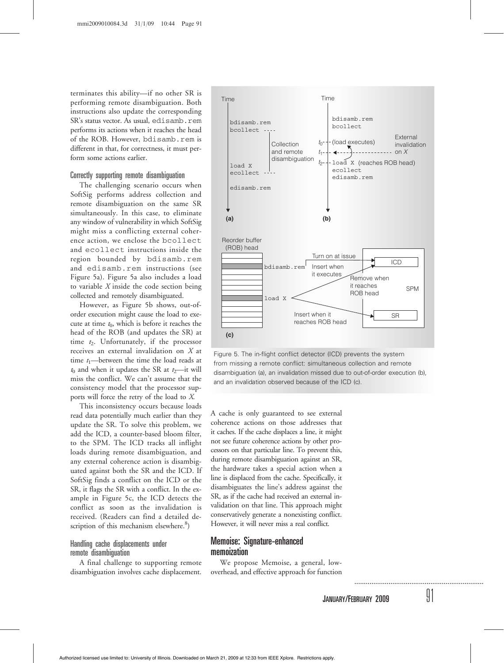terminates this ability—if no other SR is performing remote disambiguation. Both instructions also update the corresponding SR's status vector. As usual, edisamb.rem performs its actions when it reaches the head of the ROB. However, bdisamb.rem is different in that, for correctness, it must perform some actions earlier.

### Correctly supporting remote disambiguation

The challenging scenario occurs when SoftSig performs address collection and remote disambiguation on the same SR simultaneously. In this case, to eliminate any window of vulnerability in which SoftSig might miss a conflicting external coherence action, we enclose the bcollect and ecollect instructions inside the region bounded by bdisamb.rem and edisamb.rem instructions (see Figure 5a). Figure 5a also includes a load to variable  $X$  inside the code section being collected and remotely disambiguated.

However, as Figure 5b shows, out-oforder execution might cause the load to execute at time  $t_0$ , which is before it reaches the head of the ROB (and updates the SR) at time  $t_2$ . Unfortunately, if the processor receives an external invalidation on X at time  $t_1$ —between the time the load reads at  $t_0$  and when it updates the SR at  $t_2$ —it will miss the conflict. We can't assume that the consistency model that the processor supports will force the retry of the load to X.

This inconsistency occurs because loads read data potentially much earlier than they update the SR. To solve this problem, we add the ICD, a counter-based bloom filter, to the SPM. The ICD tracks all inflight loads during remote disambiguation, and any external coherence action is disambiguated against both the SR and the ICD. If SoftSig finds a conflict on the ICD or the SR, it flags the SR with a conflict. In the example in Figure 5c, the ICD detects the conflict as soon as the invalidation is received. (Readers can find a detailed description of this mechanism elsewhere.<sup>8</sup>)

# Handling cache displacements under remote disambiguation

A final challenge to supporting remote disambiguation involves cache displacement.





A cache is only guaranteed to see external coherence actions on those addresses that it caches. If the cache displaces a line, it might not see future coherence actions by other processors on that particular line. To prevent this, during remote disambiguation against an SR, the hardware takes a special action when a line is displaced from the cache. Specifically, it disambiguates the line's address against the SR, as if the cache had received an external invalidation on that line. This approach might conservatively generate a nonexisting conflict. However, it will never miss a real conflict.

# Memoise: Signature-enhanced memoization

We propose Memoise, a general, lowoverhead, and effective approach for function

 $\mathsf{J}$ ANUARY/FEBRUARY 2009  $\mathbb{S}^1$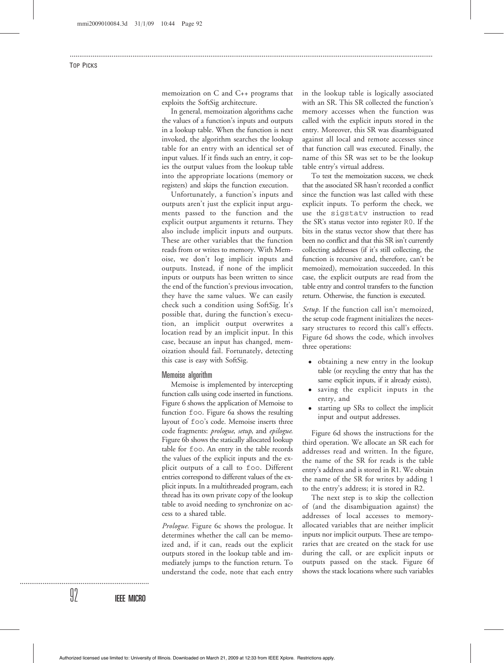memoization on C and C++ programs that exploits the SoftSig architecture.

...............................................................................................................................................................................................

In general, memoization algorithms cache the values of a function's inputs and outputs in a lookup table. When the function is next invoked, the algorithm searches the lookup table for an entry with an identical set of input values. If it finds such an entry, it copies the output values from the lookup table into the appropriate locations (memory or registers) and skips the function execution.

Unfortunately, a function's inputs and outputs aren't just the explicit input arguments passed to the function and the explicit output arguments it returns. They also include implicit inputs and outputs. These are other variables that the function reads from or writes to memory. With Memoise, we don't log implicit inputs and outputs. Instead, if none of the implicit inputs or outputs has been written to since the end of the function's previous invocation, they have the same values. We can easily check such a condition using SoftSig. It's possible that, during the function's execution, an implicit output overwrites a location read by an implicit input. In this case, because an input has changed, memoization should fail. Fortunately, detecting this case is easy with SoftSig.

#### Memoise algorithm

Memoise is implemented by intercepting function calls using code inserted in functions. Figure 6 shows the application of Memoise to function foo. Figure 6a shows the resulting layout of foo's code. Memoise inserts three code fragments: prologue, setup, and epilogue. Figure 6b shows the statically allocated lookup table for foo. An entry in the table records the values of the explicit inputs and the explicit outputs of a call to foo. Different entries correspond to different values of the explicit inputs. In a multithreaded program, each thread has its own private copy of the lookup table to avoid needing to synchronize on access to a shared table.

Prologue. Figure 6c shows the prologue. It determines whether the call can be memoized and, if it can, reads out the explicit outputs stored in the lookup table and immediately jumps to the function return. To understand the code, note that each entry in the lookup table is logically associated with an SR. This SR collected the function's memory accesses when the function was called with the explicit inputs stored in the entry. Moreover, this SR was disambiguated against all local and remote accesses since that function call was executed. Finally, the name of this SR was set to be the lookup table entry's virtual address.

To test the memoization success, we check that the associated SR hasn't recorded a conflict since the function was last called with these explicit inputs. To perform the check, we use the sigstatv instruction to read the SR's status vector into register R0. If the bits in the status vector show that there has been no conflict and that this SR isn't currently collecting addresses (if it's still collecting, the function is recursive and, therefore, can't be memoized), memoization succeeded. In this case, the explicit outputs are read from the table entry and control transfers to the function return. Otherwise, the function is executed.

Setup. If the function call isn't memoized, the setup code fragment initializes the necessary structures to record this call's effects. Figure 6d shows the code, which involves three operations:

- obtaining a new entry in the lookup table (or recycling the entry that has the same explicit inputs, if it already exists),
- saving the explicit inputs in the entry, and
- starting up SRs to collect the implicit input and output addresses.

Figure 6d shows the instructions for the third operation. We allocate an SR each for addresses read and written. In the figure, the name of the SR for reads is the table entry's address and is stored in R1. We obtain the name of the SR for writes by adding 1 to the entry's address; it is stored in R2.

The next step is to skip the collection of (and the disambiguation against) the addresses of local accesses to memoryallocated variables that are neither implicit inputs nor implicit outputs. These are temporaries that are created on the stack for use during the call, or are explicit inputs or outputs passed on the stack. Figure 6f shows the stack locations where such variables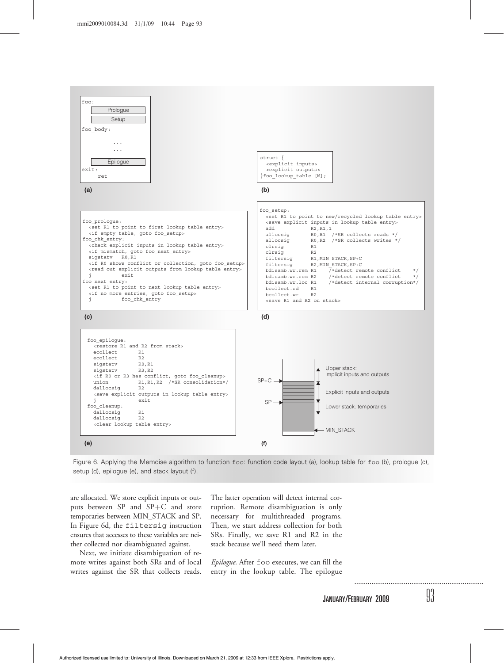

Figure 6. Applying the Memoise algorithm to function foo: function code layout (a), lookup table for foo (b), prologue (c), setup (d), epilogue (e), and stack layout (f).

are allocated. We store explicit inputs or outputs between  $SP$  and  $SP+C$  and store temporaries between MIN\_STACK and SP. In Figure 6d, the filtersig instruction ensures that accesses to these variables are neither collected nor disambiguated against.

Next, we initiate disambiguation of remote writes against both SRs and of local writes against the SR that collects reads.

The latter operation will detect internal corruption. Remote disambiguation is only necessary for multithreaded programs. Then, we start address collection for both SRs. Finally, we save R1 and R2 in the stack because we'll need them later.

Epilogue. After foo executes, we can fill the entry in the lookup table. The epilogue

JANUARY/FEBRUARY 2009<br>January/February 2009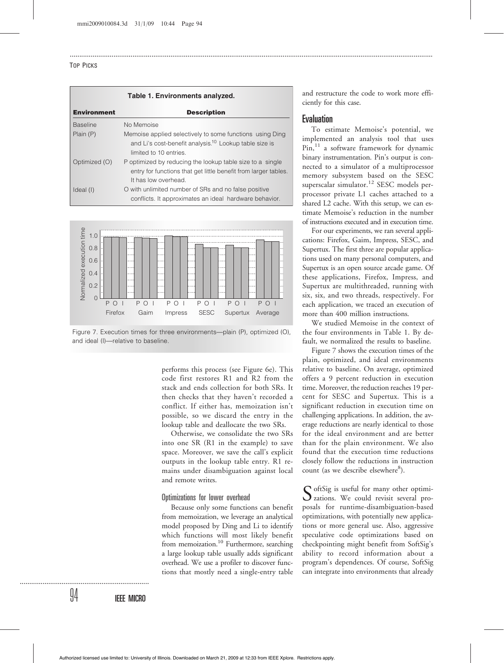| Table 1. Environments analyzed. |                                                                                                                                                          |
|---------------------------------|----------------------------------------------------------------------------------------------------------------------------------------------------------|
| <b>Environment</b>              | <b>Description</b>                                                                                                                                       |
| <b>Baseline</b>                 | No Memoise                                                                                                                                               |
| Plain(P)                        | Memoise applied selectively to some functions using Ding<br>and Li's cost-benefit analysis. <sup>10</sup> Lookup table size is<br>limited to 10 entries. |
| Optimized (O)                   | P optimized by reducing the lookup table size to a single<br>entry for functions that get little benefit from larger tables.<br>It has low overhead.     |
| Ideal (I)                       | O with unlimited number of SRs and no false positive<br>conflicts. It approximates an ideal hardware behavior.                                           |



Figure 7. Execution times for three environments—plain (P), optimized (O), and ideal (I)—relative to baseline.

performs this process (see Figure 6e). This code first restores R1 and R2 from the stack and ends collection for both SRs. It then checks that they haven't recorded a conflict. If either has, memoization isn't possible, so we discard the entry in the lookup table and deallocate the two SRs.

Otherwise, we consolidate the two SRs into one SR (R1 in the example) to save space. Moreover, we save the call's explicit outputs in the lookup table entry. R1 remains under disambiguation against local and remote writes.

#### Optimizations for lower overhead

Because only some functions can benefit from memoization, we leverage an analytical model proposed by Ding and Li to identify which functions will most likely benefit from memoization.<sup>10</sup> Furthermore, searching a large lookup table usually adds significant overhead. We use a profiler to discover functions that mostly need a single-entry table and restructure the code to work more efficiently for this case.

# Evaluation

...............................................................................................................................................................................................

To estimate Memoise's potential, we implemented an analysis tool that uses Pin,<sup>11</sup> a software framework for dynamic binary instrumentation. Pin's output is connected to a simulator of a multiprocessor memory subsystem based on the SESC superscalar simulator. <sup>12</sup> SESC models perprocessor private L1 caches attached to a shared L2 cache. With this setup, we can estimate Memoise's reduction in the number of instructions executed and in execution time.

For our experiments, we ran several applications: Firefox, Gaim, Impress, SESC, and Supertux. The first three are popular applications used on many personal computers, and Supertux is an open source arcade game. Of these applications, Firefox, Impress, and Supertux are multithreaded, running with six, six, and two threads, respectively. For each application, we traced an execution of more than 400 million instructions.

We studied Memoise in the context of the four environments in Table 1. By default, we normalized the results to baseline.

Figure 7 shows the execution times of the plain, optimized, and ideal environments relative to baseline. On average, optimized offers a 9 percent reduction in execution time. Moreover, the reduction reaches 19 percent for SESC and Supertux. This is a significant reduction in execution time on challenging applications. In addition, the average reductions are nearly identical to those for the ideal environment and are better than for the plain environment. We also found that the execution time reductions closely follow the reductions in instruction count (as we describe elsewhere<sup>8</sup>).

SoftSig is useful for many other optimizations. We could revisit several proposals for runtime-disambiguation-based optimizations, with potentially new applications or more general use. Also, aggressive speculative code optimizations based on checkpointing might benefit from SoftSig's ability to record information about a program's dependences. Of course, SoftSig can integrate into environments that already

....................................................................

94 IEEE MICRO